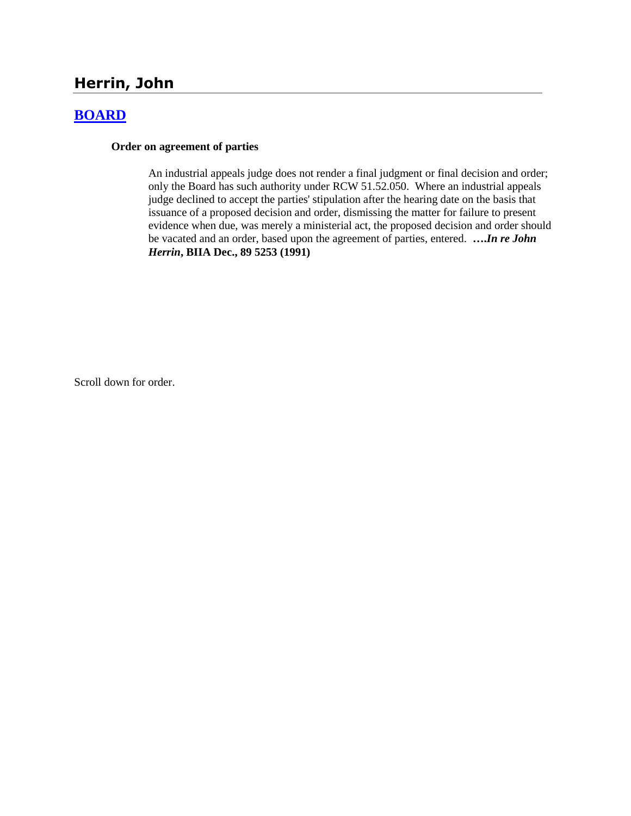# **Herrin, John**

## **[BOARD](http://www.biia.wa.gov/SDSubjectIndex.html#BOARD)**

#### **Order on agreement of parties**

An industrial appeals judge does not render a final judgment or final decision and order; only the Board has such authority under RCW 51.52.050. Where an industrial appeals judge declined to accept the parties' stipulation after the hearing date on the basis that issuance of a proposed decision and order, dismissing the matter for failure to present evidence when due, was merely a ministerial act, the proposed decision and order should be vacated and an order, based upon the agreement of parties, entered. **….***In re John Herrin***, BIIA Dec., 89 5253 (1991)** 

Scroll down for order.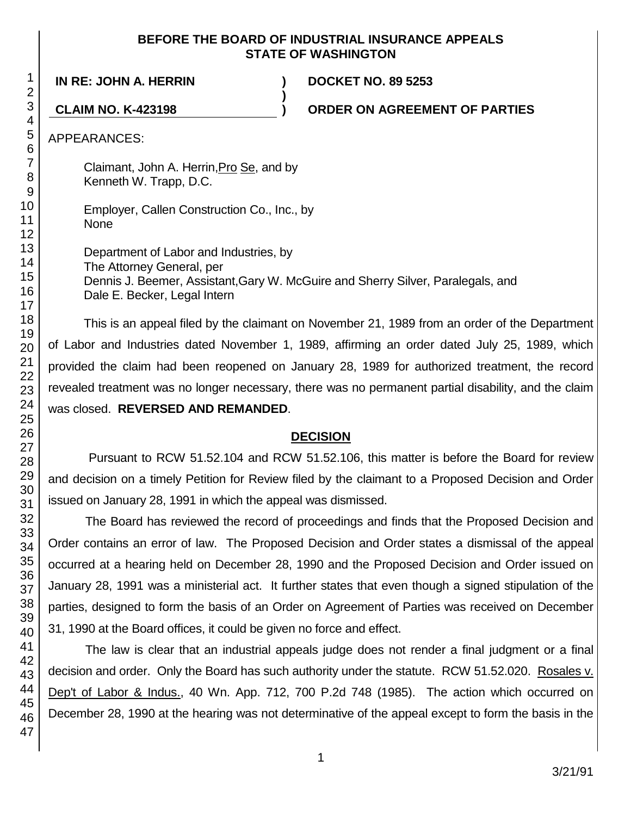### **BEFORE THE BOARD OF INDUSTRIAL INSURANCE APPEALS STATE OF WASHINGTON**

**)**

**IN RE: JOHN A. HERRIN ) DOCKET NO. 89 5253**

**CLAIM NO. K-423198 ) ORDER ON AGREEMENT OF PARTIES**

APPEARANCES:

Claimant, John A. Herrin,Pro Se, and by Kenneth W. Trapp, D.C.

Employer, Callen Construction Co., Inc., by None

Department of Labor and Industries, by The Attorney General, per Dennis J. Beemer, Assistant,Gary W. McGuire and Sherry Silver, Paralegals, and Dale E. Becker, Legal Intern

This is an appeal filed by the claimant on November 21, 1989 from an order of the Department of Labor and Industries dated November 1, 1989, affirming an order dated July 25, 1989, which provided the claim had been reopened on January 28, 1989 for authorized treatment, the record revealed treatment was no longer necessary, there was no permanent partial disability, and the claim was closed. **REVERSED AND REMANDED**.

## **DECISION**

Pursuant to RCW 51.52.104 and RCW 51.52.106, this matter is before the Board for review and decision on a timely Petition for Review filed by the claimant to a Proposed Decision and Order issued on January 28, 1991 in which the appeal was dismissed.

The Board has reviewed the record of proceedings and finds that the Proposed Decision and Order contains an error of law. The Proposed Decision and Order states a dismissal of the appeal occurred at a hearing held on December 28, 1990 and the Proposed Decision and Order issued on January 28, 1991 was a ministerial act. It further states that even though a signed stipulation of the parties, designed to form the basis of an Order on Agreement of Parties was received on December 31, 1990 at the Board offices, it could be given no force and effect.

The law is clear that an industrial appeals judge does not render a final judgment or a final decision and order. Only the Board has such authority under the statute. RCW 51.52.020. Rosales v. Dep't of Labor & Indus., 40 Wn. App. 712, 700 P.2d 748 (1985). The action which occurred on December 28, 1990 at the hearing was not determinative of the appeal except to form the basis in the

1